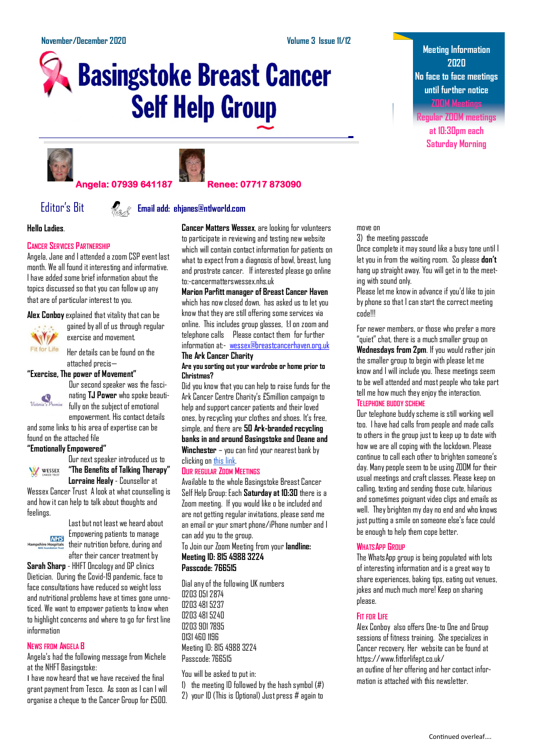# **Basingstoke Breast Cancer Self Help Group**





#### **Angela: 07939 641187 Renee: 07717 873090**

#### Editor's Bit **Email add: ehjanes@ntlworld.com**

#### **Hello Ladies**.

#### **CANCER SERVICES PARTNERSHIP**

Angela, Jane and I attended a zoom CSP event last month. We all found it interesting and informative. I have added some brief information about the topics discussed so that you can follow up any that are of particular interest to you.

**Alex Conboy**explained that vitality that can be



gained by all of us through regular exercise and movement.

Her details can be found on the attached precis—

#### **"Exercise, The power of Movement"**



Our second speaker was the fascinating **TJ Power** who spoke beautifully on the subject of emotional empowerment. His contact details

and some links to his area of expertise can be found on the attached file

#### **"Emotionally Empowered"** Our next speaker introduced us to

WESSEX

**"The Benefits of Talking Therapy" Lorraine Healy**- Counsellor at

Wessex Cancer Trust A look at what counselling is and how it can help to talk about thoughts and feelings.



Last but not least we heard about Empowering patients to manage their nutrition before, during and after their cancer treatment by

**Sarah Sharp** - HHFT Oncology and GP clinics Dietician. During the Covid-19 pandemic, face to face consultations have reduced so weight loss and nutritional problems have at times gone unnoticed. We want to empower patients to know when to highlight concerns and where to go for first line information

#### **NEWS FROM ANGELA B**

Angela's had the following message from Michele at the NHFT Basingstoke:

I have now heard that we have received the final grant payment from Tesco. As soon as I can I will organise a cheque to the Cancer Group for £500. **Cancer Matters Wessex**, are looking for volunteers to participate in reviewing and testing new website which will contain contact information for patients on what to expect from a diagnosis of bowl, breast, lung and prostrate cancer. If interested please go online to:-cancermatterswessex.nhs.uk

**Marion Parfitt manager of Breast Cancer Haven** which has now closed down, has asked us to let you know that they are still offering some services via online. This includes group glasses, 1:1 on zoom and telephone calls Please contact them for further information at:- [wessex@breastcancerhaven.org.uk](mailto:wessex@breastcancerhaven.org.uk) **The Ark Cancer Charity** 

#### **Are you sorting out your wardrobe or home prior to Christmas?**

Did you know that you can help to raise funds for the Ark Cancer Centre Charity's £5million campaign to help and support cancer patients and their loved ones, by recycling your clothes and shoes. It's free, simple, and there are **50 Ark-branded recycling banks in and around Basingstoke and Deane and Winchester** – you can find your nearest bank by clicking on [this link.](https://biugroup.co.uk/banklocator/?)

#### **OUR REGULAR ZOOM MEETINGS**

Available to the whole Basingstoke Breast Cancer Self Help Group: Each **Saturday at 10:30** there is a Zoom meeting. If you would like o be included and are not getting regular invitations, please send me an email or your smart phone/iPhone number and I can add you to the group.

To Join our Zoom Meeting from your **landline: Meeting ID: 815 4988 3224**

### **Passcode: 766515**

Dial any of the following UK numbers 0203 051 2874 0203 481 5237 0203 481 5240 0203 901 7895 0131 460 1196 Meeting ID: 815 4988 3224 Passcode: 766515

#### You will be asked to put in:

1) the meeting ID followed by the hash symbol (#)

2) your ID (This is Optional) Just press # again to

**Meeting Information 2020 No face to face meetings until further notice ZOOM Meetings**

**Regular ZOOM meetings at 10:30pm each Saturday Morning**

#### move on

3) the meeting passcode

Once complete it may sound like a busy tone until I let you in from the waiting room. So please **don't** hang up straight away. You will get in to the meeting with sound only.

Please let me know in advance if you'd like to join by phone so that I can start the correct meeting code!!!

For newer members, or those who prefer a more "quiet" chat, there is a much smaller group on **Wednesdays from 2pm**. If you would rather join the smaller group to begin with please let me know and I will include you. These meetings seem to be well attended and most people who take part tell me how much they enjoy the interaction. **TELEPHONE BUDDY SCHEME**

Our telephone buddy scheme is still working well too. I have had calls from people and made calls to others in the group just to keep up to date with how we are all coping with the lockdown. Please continue to call each other to brighten someone's day. Many people seem to be using ZOOM for their usual meetings and craft classes. Please keep on calling, texting and sending those cute, hilarious and sometimes poignant video clips and emails as well. They brighten my day no end and who knows just putting a smile on someone else's face could be enough to help them cope better.

#### **WHATSAPP GROUP**

The WhatsApp group is being populated with lots of interesting information and is a great way to share experiences, baking tips, eating out venues, jokes and much much more! Keep on sharing please.

#### **FIT FOR LIFE**

Alex Conboy also offers One-to One and Group sessions of fitness training. She specializes in Cancer recovery. Her website can be found at https://www.fitforlifept.co.uk/ an outline of her offering and her contact information is attached with this newsletter.